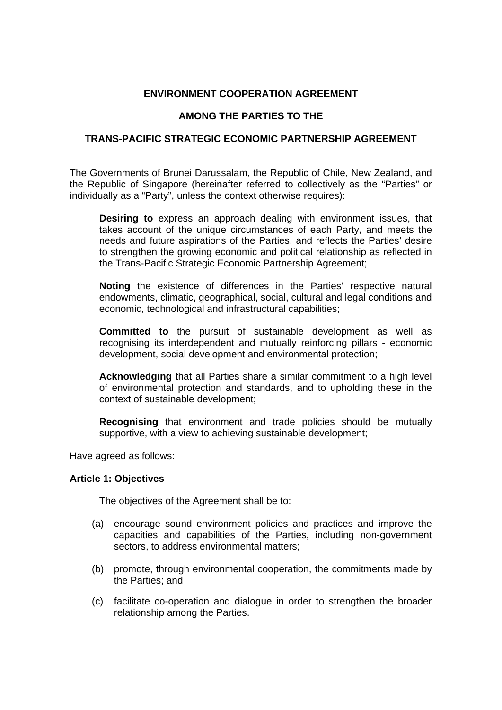### **ENVIRONMENT COOPERATION AGREEMENT**

### **AMONG THE PARTIES TO THE**

#### **TRANS-PACIFIC STRATEGIC ECONOMIC PARTNERSHIP AGREEMENT**

The Governments of Brunei Darussalam, the Republic of Chile, New Zealand, and the Republic of Singapore (hereinafter referred to collectively as the "Parties" or individually as a "Party", unless the context otherwise requires):

**Desiring to** express an approach dealing with environment issues, that takes account of the unique circumstances of each Party, and meets the needs and future aspirations of the Parties, and reflects the Parties' desire to strengthen the growing economic and political relationship as reflected in the Trans-Pacific Strategic Economic Partnership Agreement;

**Noting** the existence of differences in the Parties' respective natural endowments, climatic, geographical, social, cultural and legal conditions and economic, technological and infrastructural capabilities;

**Committed to** the pursuit of sustainable development as well as recognising its interdependent and mutually reinforcing pillars - economic development, social development and environmental protection;

**Acknowledging** that all Parties share a similar commitment to a high level of environmental protection and standards, and to upholding these in the context of sustainable development;

**Recognising** that environment and trade policies should be mutually supportive, with a view to achieving sustainable development;

Have agreed as follows:

#### **Article 1: Objectives**

The objectives of the Agreement shall be to:

- (a) encourage sound environment policies and practices and improve the capacities and capabilities of the Parties, including non-government sectors, to address environmental matters;
- (b) promote, through environmental cooperation, the commitments made by the Parties; and
- (c) facilitate co-operation and dialogue in order to strengthen the broader relationship among the Parties.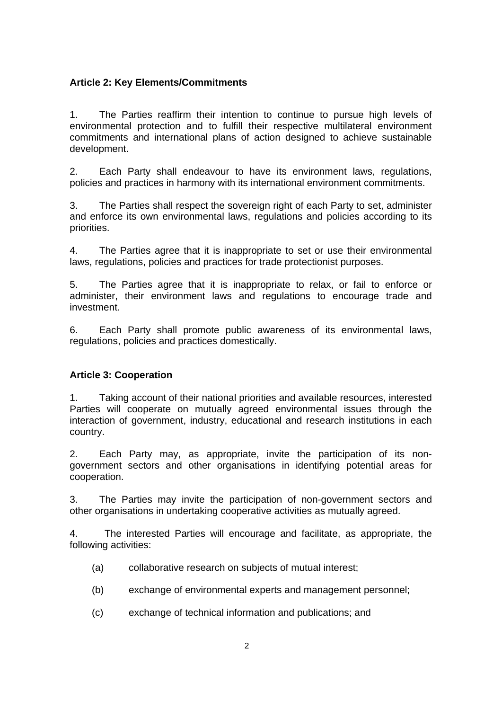### **Article 2: Key Elements/Commitments**

1. The Parties reaffirm their intention to continue to pursue high levels of environmental protection and to fulfill their respective multilateral environment commitments and international plans of action designed to achieve sustainable development.

2. Each Party shall endeavour to have its environment laws, regulations, policies and practices in harmony with its international environment commitments.

3. The Parties shall respect the sovereign right of each Party to set, administer and enforce its own environmental laws, regulations and policies according to its priorities.

4. The Parties agree that it is inappropriate to set or use their environmental laws, regulations, policies and practices for trade protectionist purposes.

5. The Parties agree that it is inappropriate to relax, or fail to enforce or administer, their environment laws and regulations to encourage trade and investment.

6. Each Party shall promote public awareness of its environmental laws, regulations, policies and practices domestically.

## **Article 3: Cooperation**

1. Taking account of their national priorities and available resources, interested Parties will cooperate on mutually agreed environmental issues through the interaction of government, industry, educational and research institutions in each country.

2. Each Party may, as appropriate, invite the participation of its nongovernment sectors and other organisations in identifying potential areas for cooperation.

3. The Parties may invite the participation of non-government sectors and other organisations in undertaking cooperative activities as mutually agreed.

4. The interested Parties will encourage and facilitate, as appropriate, the following activities:

- (a) collaborative research on subjects of mutual interest;
- (b) exchange of environmental experts and management personnel;
- (c) exchange of technical information and publications; and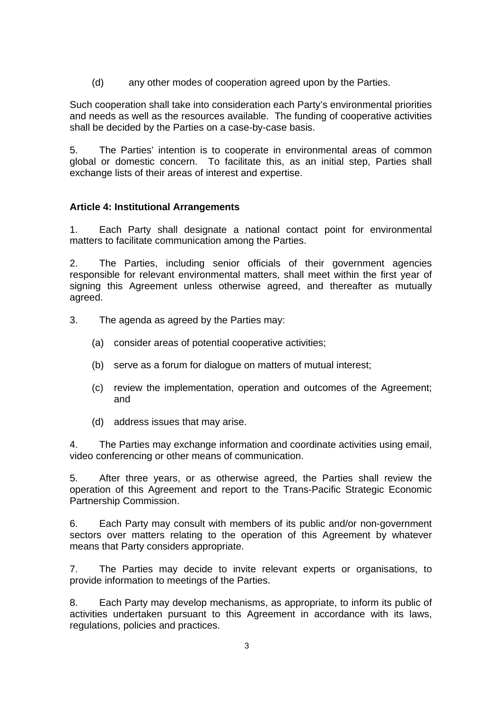(d) any other modes of cooperation agreed upon by the Parties.

Such cooperation shall take into consideration each Party's environmental priorities and needs as well as the resources available. The funding of cooperative activities shall be decided by the Parties on a case-by-case basis.

5. The Parties' intention is to cooperate in environmental areas of common global or domestic concern. To facilitate this, as an initial step, Parties shall exchange lists of their areas of interest and expertise.

## **Article 4: Institutional Arrangements**

1. Each Party shall designate a national contact point for environmental matters to facilitate communication among the Parties.

2. The Parties, including senior officials of their government agencies responsible for relevant environmental matters, shall meet within the first year of signing this Agreement unless otherwise agreed, and thereafter as mutually agreed.

- 3. The agenda as agreed by the Parties may:
	- (a) consider areas of potential cooperative activities;
	- (b) serve as a forum for dialogue on matters of mutual interest;
	- (c) review the implementation, operation and outcomes of the Agreement; and
	- (d) address issues that may arise.

4. The Parties may exchange information and coordinate activities using email, video conferencing or other means of communication.

5. After three years, or as otherwise agreed, the Parties shall review the operation of this Agreement and report to the Trans-Pacific Strategic Economic Partnership Commission.

6. Each Party may consult with members of its public and/or non-government sectors over matters relating to the operation of this Agreement by whatever means that Party considers appropriate.

7. The Parties may decide to invite relevant experts or organisations, to provide information to meetings of the Parties.

8. Each Party may develop mechanisms, as appropriate, to inform its public of activities undertaken pursuant to this Agreement in accordance with its laws, regulations, policies and practices.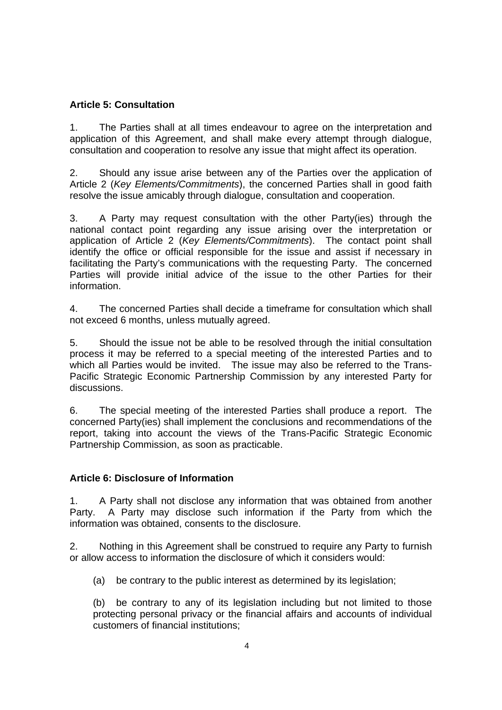# **Article 5: Consultation**

1. The Parties shall at all times endeavour to agree on the interpretation and application of this Agreement, and shall make every attempt through dialogue, consultation and cooperation to resolve any issue that might affect its operation.

2. Should any issue arise between any of the Parties over the application of Article 2 (*Key Elements/Commitments*), the concerned Parties shall in good faith resolve the issue amicably through dialogue, consultation and cooperation.

3. A Party may request consultation with the other Party(ies) through the national contact point regarding any issue arising over the interpretation or application of Article 2 (*Key Elements/Commitments*). The contact point shall identify the office or official responsible for the issue and assist if necessary in facilitating the Party's communications with the requesting Party. The concerned Parties will provide initial advice of the issue to the other Parties for their information.

4. The concerned Parties shall decide a timeframe for consultation which shall not exceed 6 months, unless mutually agreed.

5. Should the issue not be able to be resolved through the initial consultation process it may be referred to a special meeting of the interested Parties and to which all Parties would be invited. The issue may also be referred to the Trans-Pacific Strategic Economic Partnership Commission by any interested Party for discussions.

6. The special meeting of the interested Parties shall produce a report. The concerned Party(ies) shall implement the conclusions and recommendations of the report, taking into account the views of the Trans-Pacific Strategic Economic Partnership Commission, as soon as practicable.

## **Article 6: Disclosure of Information**

1. A Party shall not disclose any information that was obtained from another Party. A Party may disclose such information if the Party from which the information was obtained, consents to the disclosure.

2. Nothing in this Agreement shall be construed to require any Party to furnish or allow access to information the disclosure of which it considers would:

(a) be contrary to the public interest as determined by its legislation;

(b) be contrary to any of its legislation including but not limited to those protecting personal privacy or the financial affairs and accounts of individual customers of financial institutions;